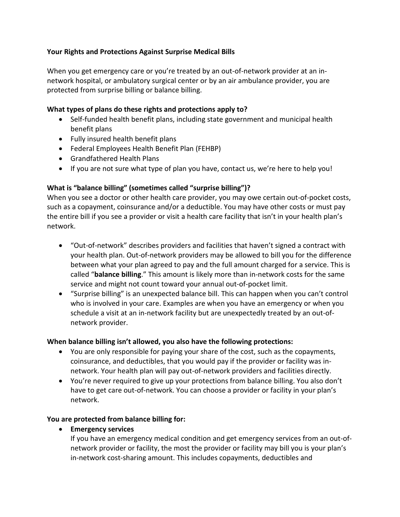### **Your Rights and Protections Against Surprise Medical Bills**

When you get emergency care or you're treated by an out-of-network provider at an innetwork hospital, or ambulatory surgical center or by an air ambulance provider, you are protected from surprise billing or balance billing.

### **What types of plans do these rights and protections apply to?**

- Self-funded health benefit plans, including state government and municipal health benefit plans
- Fully insured health benefit plans
- Federal Employees Health Benefit Plan (FEHBP)
- Grandfathered Health Plans
- If you are not sure what type of plan you have, contact us, we're here to help you!

# **What is "balance billing" (sometimes called "surprise billing")?**

When you see a doctor or other health care provider, you may owe certain out-of-pocket costs, such as a copayment, coinsurance and/or a deductible. You may have other costs or must pay the entire bill if you see a provider or visit a health care facility that isn't in your health plan's network.

- "Out-of-network" describes providers and facilities that haven't signed a contract with your health plan. Out-of-network providers may be allowed to bill you for the difference between what your plan agreed to pay and the full amount charged for a service. This is called "**balance billing**." This amount is likely more than in-network costs for the same service and might not count toward your annual out-of-pocket limit.
- "Surprise billing" is an unexpected balance bill. This can happen when you can't control who is involved in your care. Examples are when you have an emergency or when you schedule a visit at an in-network facility but are unexpectedly treated by an out-ofnetwork provider.

# **When balance billing isn't allowed, you also have the following protections:**

- You are only responsible for paying your share of the cost, such as the copayments, coinsurance, and deductibles, that you would pay if the provider or facility was innetwork. Your health plan will pay out-of-network providers and facilities directly.
- You're never required to give up your protections from balance billing. You also don't have to get care out-of-network. You can choose a provider or facility in your plan's network.

# **You are protected from balance billing for:**

• **Emergency services** 

If you have an emergency medical condition and get emergency services from an out-ofnetwork provider or facility, the most the provider or facility may bill you is your plan's in-network cost-sharing amount. This includes copayments, deductibles and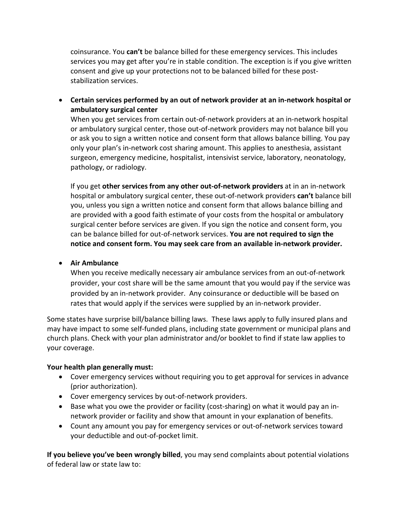coinsurance. You **can't** be balance billed for these emergency services. This includes services you may get after you're in stable condition. The exception is if you give written consent and give up your protections not to be balanced billed for these poststabilization services.

• **Certain services performed by an out of network provider at an in-network hospital or ambulatory surgical center** 

When you get services from certain out-of-network providers at an in-network hospital or ambulatory surgical center, those out-of-network providers may not balance bill you or ask you to sign a written notice and consent form that allows balance billing. You pay only your plan's in-network cost sharing amount. This applies to anesthesia, assistant surgeon, emergency medicine, hospitalist, intensivist service, laboratory, neonatology, pathology, or radiology.

If you get **other services from any other out-of-network providers** at in an in-network hospital or ambulatory surgical center, these out-of-network providers **can't** balance bill you, unless you sign a written notice and consent form that allows balance billing and are provided with a good faith estimate of your costs from the hospital or ambulatory surgical center before services are given. If you sign the notice and consent form, you can be balance billed for out-of-network services. **You are not required to sign the notice and consent form. You may seek care from an available in-network provider.** 

• **Air Ambulance**

When you receive medically necessary air ambulance services from an out-of-network provider, your cost share will be the same amount that you would pay if the service was provided by an in-network provider. Any coinsurance or deductible will be based on rates that would apply if the services were supplied by an in-network provider.

Some states have surprise bill/balance billing laws. These laws apply to fully insured plans and may have impact to some self-funded plans, including state government or municipal plans and church plans. Check with your plan administrator and/or booklet to find if state law applies to your coverage.

#### **Your health plan generally must:**

- Cover emergency services without requiring you to get approval for services in advance (prior authorization).
- Cover emergency services by out-of-network providers.
- Base what you owe the provider or facility (cost-sharing) on what it would pay an innetwork provider or facility and show that amount in your explanation of benefits.
- Count any amount you pay for emergency services or out-of-network services toward your deductible and out-of-pocket limit.

**If you believe you've been wrongly billed**, you may send complaints about potential violations of federal law or state law to: